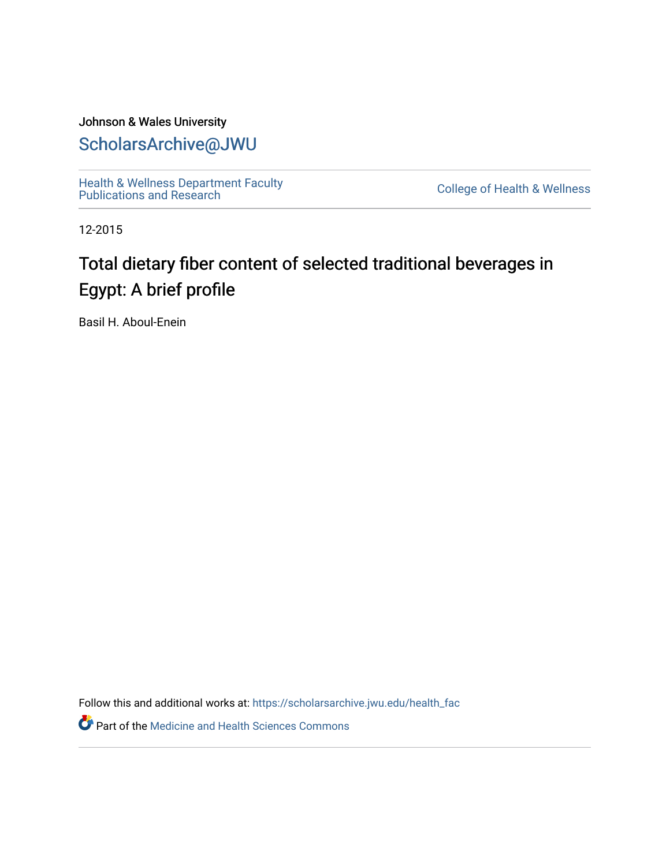### Johnson & Wales University [ScholarsArchive@JWU](https://scholarsarchive.jwu.edu/)

[Health & Wellness Department Faculty](https://scholarsarchive.jwu.edu/health_fac)  [Publications and Research](https://scholarsarchive.jwu.edu/health_fac) [College of Health & Wellness](https://scholarsarchive.jwu.edu/health_wellness) 

12-2015

# Total dietary fiber content of selected traditional beverages in Egypt: A brief profile

Basil H. Aboul-Enein

Follow this and additional works at: [https://scholarsarchive.jwu.edu/health\\_fac](https://scholarsarchive.jwu.edu/health_fac?utm_source=scholarsarchive.jwu.edu%2Fhealth_fac%2F124&utm_medium=PDF&utm_campaign=PDFCoverPages) 

**Part of the Medicine and Health Sciences Commons**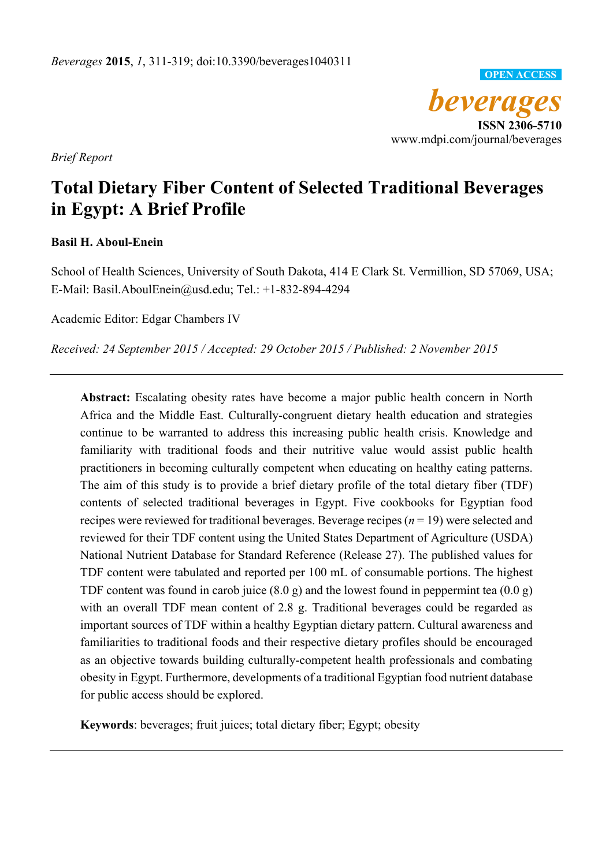*beverages*  **ISSN 2306-5710**  www.mdpi.com/journal/beverages **OPEN ACCESS**

*Brief Report* 

## **Total Dietary Fiber Content of Selected Traditional Beverages in Egypt: A Brief Profile**

#### **Basil H. Aboul-Enein**

School of Health Sciences, University of South Dakota, 414 E Clark St. Vermillion, SD 57069, USA; E-Mail: Basil.AboulEnein@usd.edu; Tel.: +1-832-894-4294

Academic Editor: Edgar Chambers IV

*Received: 24 September 2015 / Accepted: 29 October 2015 / Published: 2 November 2015* 

**Abstract:** Escalating obesity rates have become a major public health concern in North Africa and the Middle East. Culturally-congruent dietary health education and strategies continue to be warranted to address this increasing public health crisis. Knowledge and familiarity with traditional foods and their nutritive value would assist public health practitioners in becoming culturally competent when educating on healthy eating patterns. The aim of this study is to provide a brief dietary profile of the total dietary fiber (TDF) contents of selected traditional beverages in Egypt. Five cookbooks for Egyptian food recipes were reviewed for traditional beverages. Beverage recipes (*n* = 19) were selected and reviewed for their TDF content using the United States Department of Agriculture (USDA) National Nutrient Database for Standard Reference (Release 27). The published values for TDF content were tabulated and reported per 100 mL of consumable portions. The highest TDF content was found in carob juice (8.0 g) and the lowest found in peppermint tea (0.0 g) with an overall TDF mean content of 2.8 g. Traditional beverages could be regarded as important sources of TDF within a healthy Egyptian dietary pattern. Cultural awareness and familiarities to traditional foods and their respective dietary profiles should be encouraged as an objective towards building culturally-competent health professionals and combating obesity in Egypt. Furthermore, developments of a traditional Egyptian food nutrient database for public access should be explored.

**Keywords**: beverages; fruit juices; total dietary fiber; Egypt; obesity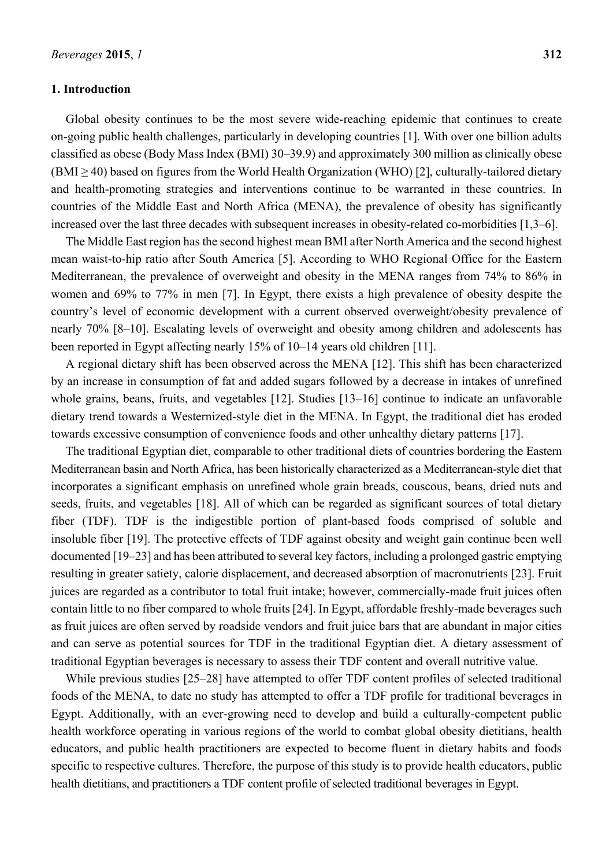#### **1. Introduction**

Global obesity continues to be the most severe wide-reaching epidemic that continues to create on-going public health challenges, particularly in developing countries [1]. With over one billion adults classified as obese (Body Mass Index (BMI) 30–39.9) and approximately 300 million as clinically obese  $(BMI \ge 40)$  based on figures from the World Health Organization (WHO) [2], culturally-tailored dietary and health-promoting strategies and interventions continue to be warranted in these countries. In countries of the Middle East and North Africa (MENA), the prevalence of obesity has significantly increased over the last three decades with subsequent increases in obesity-related co-morbidities [1,3–6].

The Middle East region has the second highest mean BMI after North America and the second highest mean waist-to-hip ratio after South America [5]. According to WHO Regional Office for the Eastern Mediterranean, the prevalence of overweight and obesity in the MENA ranges from 74% to 86% in women and 69% to 77% in men [7]. In Egypt, there exists a high prevalence of obesity despite the country's level of economic development with a current observed overweight/obesity prevalence of nearly 70% [8–10]. Escalating levels of overweight and obesity among children and adolescents has been reported in Egypt affecting nearly 15% of 10–14 years old children [11].

A regional dietary shift has been observed across the MENA [12]. This shift has been characterized by an increase in consumption of fat and added sugars followed by a decrease in intakes of unrefined whole grains, beans, fruits, and vegetables [12]. Studies [13–16] continue to indicate an unfavorable dietary trend towards a Westernized-style diet in the MENA. In Egypt, the traditional diet has eroded towards excessive consumption of convenience foods and other unhealthy dietary patterns [17].

The traditional Egyptian diet, comparable to other traditional diets of countries bordering the Eastern Mediterranean basin and North Africa, has been historically characterized as a Mediterranean-style diet that incorporates a significant emphasis on unrefined whole grain breads, couscous, beans, dried nuts and seeds, fruits, and vegetables [18]. All of which can be regarded as significant sources of total dietary fiber (TDF). TDF is the indigestible portion of plant-based foods comprised of soluble and insoluble fiber [19]. The protective effects of TDF against obesity and weight gain continue been well documented [19–23] and has been attributed to several key factors, including a prolonged gastric emptying resulting in greater satiety, calorie displacement, and decreased absorption of macronutrients [23]. Fruit juices are regarded as a contributor to total fruit intake; however, commercially-made fruit juices often contain little to no fiber compared to whole fruits [24]. In Egypt, affordable freshly-made beverages such as fruit juices are often served by roadside vendors and fruit juice bars that are abundant in major cities and can serve as potential sources for TDF in the traditional Egyptian diet. A dietary assessment of traditional Egyptian beverages is necessary to assess their TDF content and overall nutritive value.

While previous studies [25–28] have attempted to offer TDF content profiles of selected traditional foods of the MENA, to date no study has attempted to offer a TDF profile for traditional beverages in Egypt. Additionally, with an ever-growing need to develop and build a culturally-competent public health workforce operating in various regions of the world to combat global obesity dietitians, health educators, and public health practitioners are expected to become fluent in dietary habits and foods specific to respective cultures. Therefore, the purpose of this study is to provide health educators, public health dietitians, and practitioners a TDF content profile of selected traditional beverages in Egypt.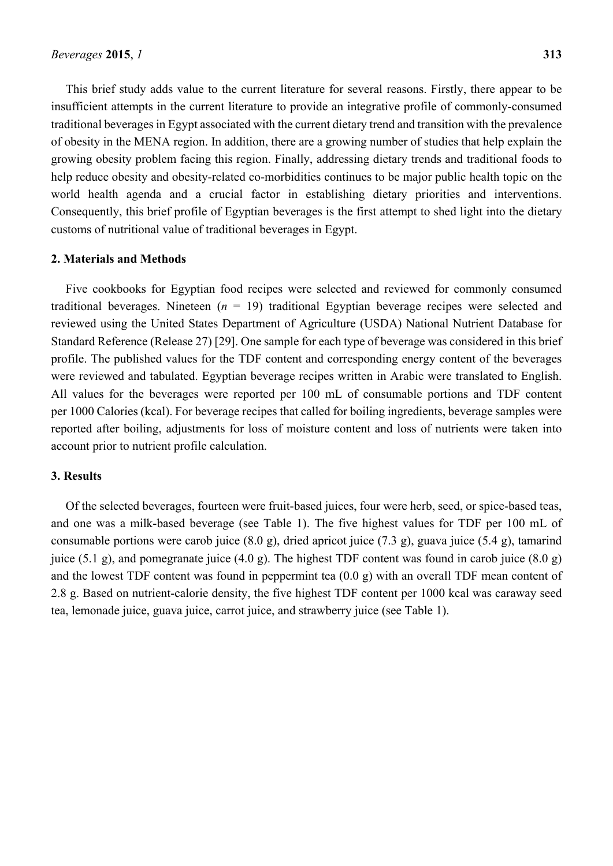This brief study adds value to the current literature for several reasons. Firstly, there appear to be insufficient attempts in the current literature to provide an integrative profile of commonly-consumed traditional beverages in Egypt associated with the current dietary trend and transition with the prevalence of obesity in the MENA region. In addition, there are a growing number of studies that help explain the growing obesity problem facing this region. Finally, addressing dietary trends and traditional foods to help reduce obesity and obesity-related co-morbidities continues to be major public health topic on the world health agenda and a crucial factor in establishing dietary priorities and interventions. Consequently, this brief profile of Egyptian beverages is the first attempt to shed light into the dietary customs of nutritional value of traditional beverages in Egypt.

#### **2. Materials and Methods**

Five cookbooks for Egyptian food recipes were selected and reviewed for commonly consumed traditional beverages. Nineteen  $(n = 19)$  traditional Egyptian beverage recipes were selected and reviewed using the United States Department of Agriculture (USDA) National Nutrient Database for Standard Reference (Release 27) [29]. One sample for each type of beverage was considered in this brief profile. The published values for the TDF content and corresponding energy content of the beverages were reviewed and tabulated. Egyptian beverage recipes written in Arabic were translated to English. All values for the beverages were reported per 100 mL of consumable portions and TDF content per 1000 Calories (kcal). For beverage recipes that called for boiling ingredients, beverage samples were reported after boiling, adjustments for loss of moisture content and loss of nutrients were taken into account prior to nutrient profile calculation.

#### **3. Results**

Of the selected beverages, fourteen were fruit-based juices, four were herb, seed, or spice-based teas, and one was a milk-based beverage (see Table 1). The five highest values for TDF per 100 mL of consumable portions were carob juice (8.0 g), dried apricot juice (7.3 g), guava juice (5.4 g), tamarind juice (5.1 g), and pomegranate juice (4.0 g). The highest TDF content was found in carob juice (8.0 g) and the lowest TDF content was found in peppermint tea (0.0 g) with an overall TDF mean content of 2.8 g. Based on nutrient-calorie density, the five highest TDF content per 1000 kcal was caraway seed tea, lemonade juice, guava juice, carrot juice, and strawberry juice (see Table 1).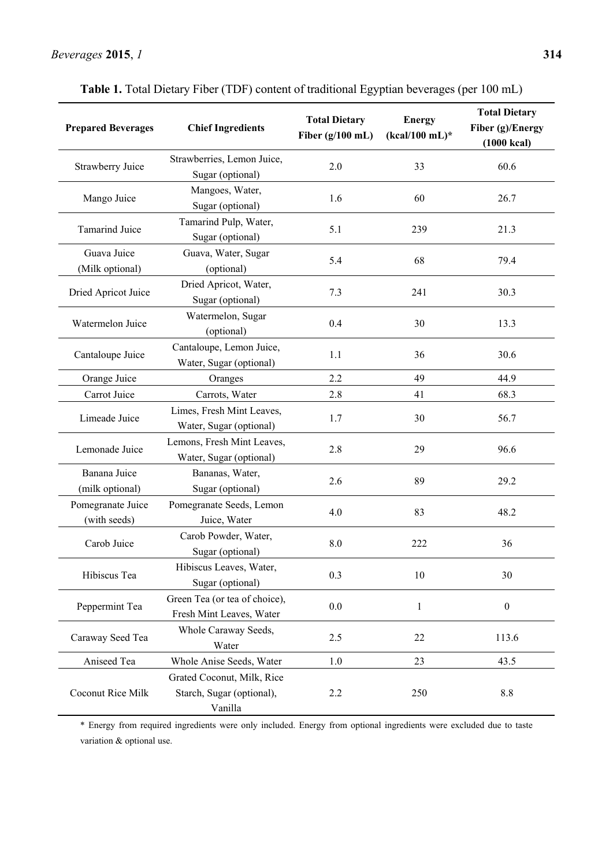| <b>Prepared Beverages</b>         | <b>Chief Ingredients</b>                                           | <b>Total Dietary</b><br>Fiber $(g/100$ mL) | <b>Energy</b><br>$(kcal/100$ mL)* | <b>Total Dietary</b><br>Fiber (g)/Energy<br>$(1000 \text{ kcal})$ |
|-----------------------------------|--------------------------------------------------------------------|--------------------------------------------|-----------------------------------|-------------------------------------------------------------------|
| Strawberry Juice                  | Strawberries, Lemon Juice,<br>Sugar (optional)                     | 2.0                                        | 33                                | 60.6                                                              |
| Mango Juice                       | Mangoes, Water,<br>Sugar (optional)                                | 1.6                                        | 60                                | 26.7                                                              |
| <b>Tamarind Juice</b>             | Tamarind Pulp, Water,<br>Sugar (optional)                          | 5.1                                        | 239                               | 21.3                                                              |
| Guava Juice<br>(Milk optional)    | Guava, Water, Sugar<br>(optional)                                  | 5.4                                        | 68                                | 79.4                                                              |
| Dried Apricot Juice               | Dried Apricot, Water,<br>Sugar (optional)                          | 7.3                                        | 241                               | 30.3                                                              |
| Watermelon Juice                  | Watermelon, Sugar<br>(optional)                                    | 0.4                                        | 30                                | 13.3                                                              |
| Cantaloupe Juice                  | Cantaloupe, Lemon Juice,<br>Water, Sugar (optional)                | 1.1                                        | 36                                | 30.6                                                              |
| Orange Juice                      | Oranges                                                            | 2.2                                        | 49                                | 44.9                                                              |
| Carrot Juice                      | Carrots, Water                                                     | 2.8                                        | 41                                | 68.3                                                              |
| Limeade Juice                     | Limes, Fresh Mint Leaves,<br>Water, Sugar (optional)               | 1.7                                        | 30                                | 56.7                                                              |
| Lemonade Juice                    | Lemons, Fresh Mint Leaves,<br>Water, Sugar (optional)              | 2.8                                        | 29                                | 96.6                                                              |
| Banana Juice<br>(milk optional)   | Bananas, Water,<br>Sugar (optional)                                | 2.6                                        | 89                                | 29.2                                                              |
| Pomegranate Juice<br>(with seeds) | Pomegranate Seeds, Lemon<br>Juice, Water                           | 4.0                                        | 83                                | 48.2                                                              |
| Carob Juice                       | Carob Powder, Water,<br>Sugar (optional)                           | 8.0                                        | 222                               | 36                                                                |
| Hibiscus Tea                      | Hibiscus Leaves, Water,<br>Sugar (optional)                        | 0.3                                        | 10                                | 30                                                                |
| Peppermint Tea                    | Green Tea (or tea of choice),<br>Fresh Mint Leaves, Water          | $0.0\,$                                    | $\mathbf{1}$                      | $\boldsymbol{0}$                                                  |
| Caraway Seed Tea                  | Whole Caraway Seeds,<br>Water                                      | 2.5                                        | 22                                | 113.6                                                             |
| Aniseed Tea                       | Whole Anise Seeds, Water                                           | $1.0\,$                                    | 23                                | 43.5                                                              |
| Coconut Rice Milk                 | Grated Coconut, Milk, Rice<br>Starch, Sugar (optional),<br>Vanilla | 2.2                                        | 250                               | $8.8\,$                                                           |

**Table 1.** Total Dietary Fiber (TDF) content of traditional Egyptian beverages (per 100 mL)

\* Energy from required ingredients were only included. Energy from optional ingredients were excluded due to taste variation & optional use.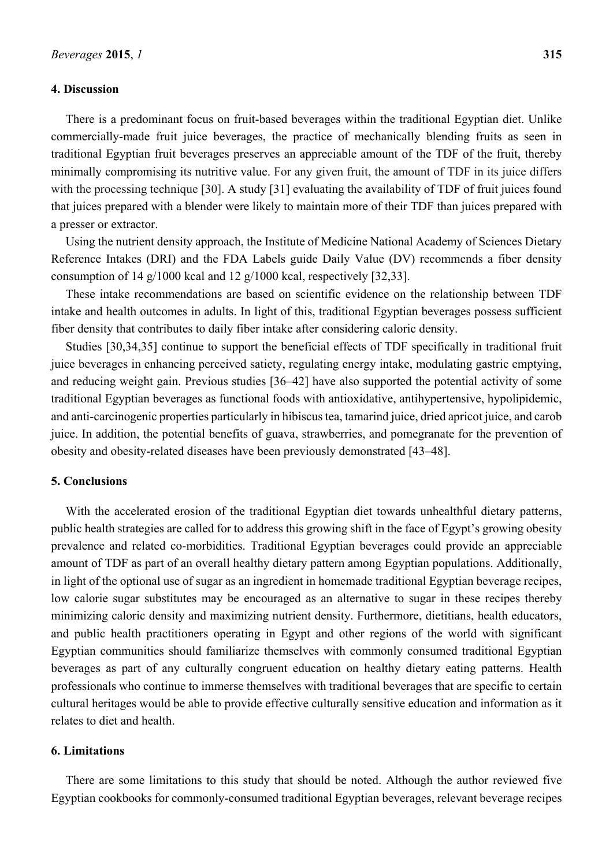#### **4. Discussion**

There is a predominant focus on fruit-based beverages within the traditional Egyptian diet. Unlike commercially-made fruit juice beverages, the practice of mechanically blending fruits as seen in traditional Egyptian fruit beverages preserves an appreciable amount of the TDF of the fruit, thereby minimally compromising its nutritive value. For any given fruit, the amount of TDF in its juice differs with the processing technique [30]. A study [31] evaluating the availability of TDF of fruit juices found that juices prepared with a blender were likely to maintain more of their TDF than juices prepared with a presser or extractor.

Using the nutrient density approach, the Institute of Medicine National Academy of Sciences Dietary Reference Intakes (DRI) and the FDA Labels guide Daily Value (DV) recommends a fiber density consumption of 14 g/1000 kcal and 12 g/1000 kcal, respectively [32,33].

These intake recommendations are based on scientific evidence on the relationship between TDF intake and health outcomes in adults. In light of this, traditional Egyptian beverages possess sufficient fiber density that contributes to daily fiber intake after considering caloric density.

Studies [30,34,35] continue to support the beneficial effects of TDF specifically in traditional fruit juice beverages in enhancing perceived satiety, regulating energy intake, modulating gastric emptying, and reducing weight gain. Previous studies [36–42] have also supported the potential activity of some traditional Egyptian beverages as functional foods with antioxidative, antihypertensive, hypolipidemic, and anti-carcinogenic properties particularly in hibiscus tea, tamarind juice, dried apricot juice, and carob juice. In addition, the potential benefits of guava, strawberries, and pomegranate for the prevention of obesity and obesity-related diseases have been previously demonstrated [43–48].

#### **5. Conclusions**

With the accelerated erosion of the traditional Egyptian diet towards unhealthful dietary patterns, public health strategies are called for to address this growing shift in the face of Egypt's growing obesity prevalence and related co-morbidities. Traditional Egyptian beverages could provide an appreciable amount of TDF as part of an overall healthy dietary pattern among Egyptian populations. Additionally, in light of the optional use of sugar as an ingredient in homemade traditional Egyptian beverage recipes, low calorie sugar substitutes may be encouraged as an alternative to sugar in these recipes thereby minimizing caloric density and maximizing nutrient density. Furthermore, dietitians, health educators, and public health practitioners operating in Egypt and other regions of the world with significant Egyptian communities should familiarize themselves with commonly consumed traditional Egyptian beverages as part of any culturally congruent education on healthy dietary eating patterns. Health professionals who continue to immerse themselves with traditional beverages that are specific to certain cultural heritages would be able to provide effective culturally sensitive education and information as it relates to diet and health.

#### **6. Limitations**

There are some limitations to this study that should be noted. Although the author reviewed five Egyptian cookbooks for commonly-consumed traditional Egyptian beverages, relevant beverage recipes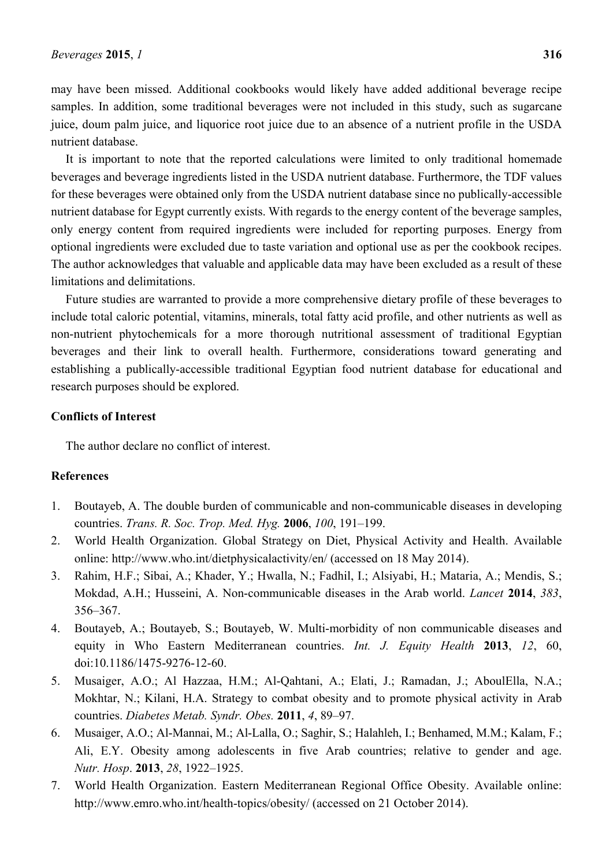may have been missed. Additional cookbooks would likely have added additional beverage recipe samples. In addition, some traditional beverages were not included in this study, such as sugarcane juice, doum palm juice, and liquorice root juice due to an absence of a nutrient profile in the USDA nutrient database.

It is important to note that the reported calculations were limited to only traditional homemade beverages and beverage ingredients listed in the USDA nutrient database. Furthermore, the TDF values for these beverages were obtained only from the USDA nutrient database since no publically-accessible nutrient database for Egypt currently exists. With regards to the energy content of the beverage samples, only energy content from required ingredients were included for reporting purposes. Energy from optional ingredients were excluded due to taste variation and optional use as per the cookbook recipes. The author acknowledges that valuable and applicable data may have been excluded as a result of these limitations and delimitations.

Future studies are warranted to provide a more comprehensive dietary profile of these beverages to include total caloric potential, vitamins, minerals, total fatty acid profile, and other nutrients as well as non-nutrient phytochemicals for a more thorough nutritional assessment of traditional Egyptian beverages and their link to overall health. Furthermore, considerations toward generating and establishing a publically-accessible traditional Egyptian food nutrient database for educational and research purposes should be explored.

#### **Conflicts of Interest**

The author declare no conflict of interest.

#### **References**

- 1. Boutayeb, A. The double burden of communicable and non-communicable diseases in developing countries. *Trans. R. Soc. Trop. Med. Hyg.* **2006**, *100*, 191–199.
- 2. World Health Organization. Global Strategy on Diet, Physical Activity and Health. Available online: http://www.who.int/dietphysicalactivity/en/ (accessed on 18 May 2014).
- 3. Rahim, H.F.; Sibai, A.; Khader, Y.; Hwalla, N.; Fadhil, I.; Alsiyabi, H.; Mataria, A.; Mendis, S.; Mokdad, A.H.; Husseini, A. Non-communicable diseases in the Arab world. *Lancet* **2014**, *383*, 356–367.
- 4. Boutayeb, A.; Boutayeb, S.; Boutayeb, W. Multi-morbidity of non communicable diseases and equity in Who Eastern Mediterranean countries. *Int. J. Equity Health* **2013**, *12*, 60, doi:10.1186/1475-9276-12-60.
- 5. Musaiger, A.O.; Al Hazzaa, H.M.; Al-Qahtani, A.; Elati, J.; Ramadan, J.; AboulElla, N.A.; Mokhtar, N.; Kilani, H.A. Strategy to combat obesity and to promote physical activity in Arab countries. *Diabetes Metab. Syndr. Obes.* **2011**, *4*, 89–97.
- 6. Musaiger, A.O.; Al-Mannai, M.; Al-Lalla, O.; Saghir, S.; Halahleh, I.; Benhamed, M.M.; Kalam, F.; Ali, E.Y. Obesity among adolescents in five Arab countries; relative to gender and age. *Nutr. Hosp*. **2013**, *28*, 1922–1925.
- 7. World Health Organization. Eastern Mediterranean Regional Office Obesity. Available online: http://www.emro.who.int/health-topics/obesity/ (accessed on 21 October 2014).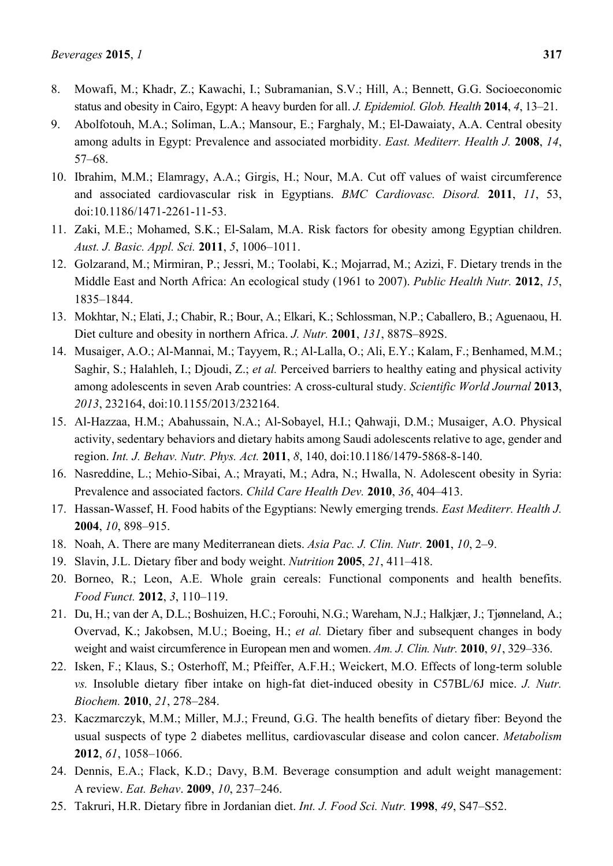- 8. Mowafi, M.; Khadr, Z.; Kawachi, I.; Subramanian, S.V.; Hill, A.; Bennett, G.G. Socioeconomic status and obesity in Cairo, Egypt: A heavy burden for all. *J. Epidemiol. Glob. Health* **2014**, *4*, 13–21.
- 9. Abolfotouh, M.A.; Soliman, L.A.; Mansour, E.; Farghaly, M.; El-Dawaiaty, A.A. Central obesity among adults in Egypt: Prevalence and associated morbidity. *East. Mediterr. Health J.* **2008**, *14*, 57–68.
- 10. Ibrahim, M.M.; Elamragy, A.A.; Girgis, H.; Nour, M.A. Cut off values of waist circumference and associated cardiovascular risk in Egyptians. *BMC Cardiovasc. Disord.* **2011**, *11*, 53, doi:10.1186/1471-2261-11-53.
- 11. Zaki, M.E.; Mohamed, S.K.; El-Salam, M.A. Risk factors for obesity among Egyptian children. *Aust. J. Basic. Appl. Sci.* **2011**, *5*, 1006–1011.
- 12. Golzarand, M.; Mirmiran, P.; Jessri, M.; Toolabi, K.; Mojarrad, M.; Azizi, F. Dietary trends in the Middle East and North Africa: An ecological study (1961 to 2007). *Public Health Nutr.* **2012**, *15*, 1835–1844.
- 13. Mokhtar, N.; Elati, J.; Chabir, R.; Bour, A.; Elkari, K.; Schlossman, N.P.; Caballero, B.; Aguenaou, H. Diet culture and obesity in northern Africa. *J. Nutr.* **2001**, *131*, 887S–892S.
- 14. Musaiger, A.O.; Al-Mannai, M.; Tayyem, R.; Al-Lalla, O.; Ali, E.Y.; Kalam, F.; Benhamed, M.M.; Saghir, S.; Halahleh, I.; Djoudi, Z.; *et al.* Perceived barriers to healthy eating and physical activity among adolescents in seven Arab countries: A cross-cultural study. *Scientific World Journal* **2013**, *2013*, 232164, doi:10.1155/2013/232164.
- 15. Al-Hazzaa, H.M.; Abahussain, N.A.; Al-Sobayel, H.I.; Qahwaji, D.M.; Musaiger, A.O. Physical activity, sedentary behaviors and dietary habits among Saudi adolescents relative to age, gender and region. *Int. J. Behav. Nutr. Phys. Act.* **2011**, *8*, 140, doi:10.1186/1479-5868-8-140.
- 16. Nasreddine, L.; Mehio-Sibai, A.; Mrayati, M.; Adra, N.; Hwalla, N. Adolescent obesity in Syria: Prevalence and associated factors. *Child Care Health Dev.* **2010**, *36*, 404–413.
- 17. Hassan-Wassef, H. Food habits of the Egyptians: Newly emerging trends. *East Mediterr. Health J.*  **2004**, *10*, 898–915.
- 18. Noah, A. There are many Mediterranean diets. *Asia Pac. J. Clin. Nutr.* **2001**, *10*, 2–9.
- 19. Slavin, J.L. Dietary fiber and body weight. *Nutrition* **2005**, *21*, 411–418.
- 20. Borneo, R.; Leon, A.E. Whole grain cereals: Functional components and health benefits. *Food Funct.* **2012**, *3*, 110–119.
- 21. Du, H.; van der A, D.L.; Boshuizen, H.C.; Forouhi, N.G.; Wareham, N.J.; Halkjær, J.; Tjønneland, A.; Overvad, K.; Jakobsen, M.U.; Boeing, H.; *et al.* Dietary fiber and subsequent changes in body weight and waist circumference in European men and women. *Am. J. Clin. Nutr.* **2010**, *91*, 329–336.
- 22. Isken, F.; Klaus, S.; Osterhoff, M.; Pfeiffer, A.F.H.; Weickert, M.O. Effects of long-term soluble *vs.* Insoluble dietary fiber intake on high-fat diet-induced obesity in C57BL/6J mice. *J. Nutr. Biochem.* **2010**, *21*, 278–284.
- 23. Kaczmarczyk, M.M.; Miller, M.J.; Freund, G.G. The health benefits of dietary fiber: Beyond the usual suspects of type 2 diabetes mellitus, cardiovascular disease and colon cancer. *Metabolism*  **2012**, *61*, 1058–1066.
- 24. Dennis, E.A.; Flack, K.D.; Davy, B.M. Beverage consumption and adult weight management: A review. *Eat. Behav*. **2009**, *10*, 237–246.
- 25. Takruri, H.R. Dietary fibre in Jordanian diet. *Int. J. Food Sci. Nutr.* **1998**, *49*, S47–S52.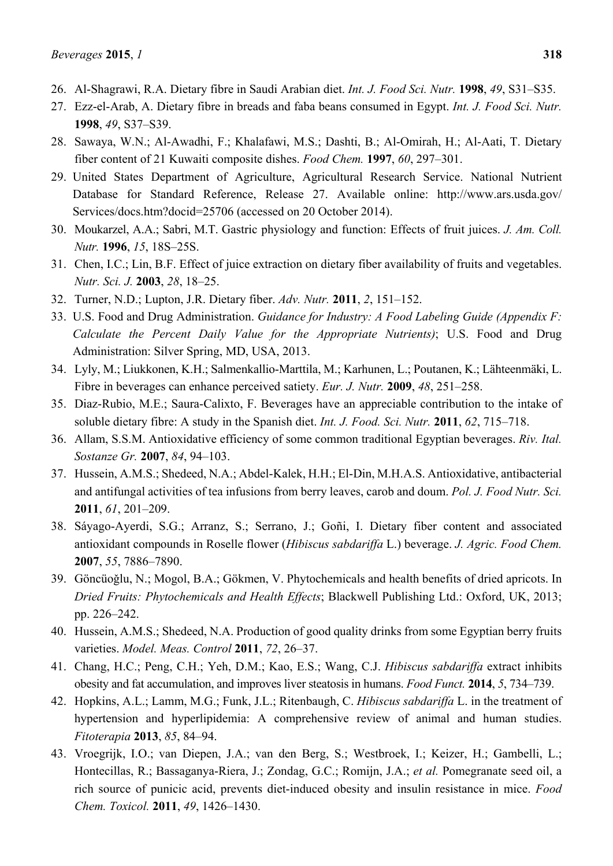- 26. Al-Shagrawi, R.A. Dietary fibre in Saudi Arabian diet. *Int. J. Food Sci. Nutr.* **1998**, *49*, S31–S35.
- 27. Ezz-el-Arab, A. Dietary fibre in breads and faba beans consumed in Egypt. *Int. J. Food Sci. Nutr.*  **1998**, *49*, S37–S39.
- 28. Sawaya, W.N.; Al-Awadhi, F.; Khalafawi, M.S.; Dashti, B.; Al-Omirah, H.; Al-Aati, T. Dietary fiber content of 21 Kuwaiti composite dishes. *Food Chem.* **1997**, *60*, 297–301.
- 29. United States Department of Agriculture, Agricultural Research Service. National Nutrient Database for Standard Reference, Release 27. Available online: http://www.ars.usda.gov/ Services/docs.htm?docid=25706 (accessed on 20 October 2014).
- 30. Moukarzel, A.A.; Sabri, M.T. Gastric physiology and function: Effects of fruit juices. *J. Am. Coll. Nutr.* **1996**, *15*, 18S–25S.
- 31. Chen, I.C.; Lin, B.F. Effect of juice extraction on dietary fiber availability of fruits and vegetables. *Nutr. Sci. J.* **2003**, *28*, 18–25.
- 32. Turner, N.D.; Lupton, J.R. Dietary fiber. *Adv. Nutr.* **2011**, *2*, 151–152.
- 33. U.S. Food and Drug Administration. *Guidance for Industry: A Food Labeling Guide (Appendix F: Calculate the Percent Daily Value for the Appropriate Nutrients)*; U.S. Food and Drug Administration: Silver Spring, MD, USA, 2013.
- 34. Lyly, M.; Liukkonen, K.H.; Salmenkallio-Marttila, M.; Karhunen, L.; Poutanen, K.; Lähteenmäki, L. Fibre in beverages can enhance perceived satiety. *Eur. J. Nutr.* **2009**, *48*, 251–258.
- 35. Diaz-Rubio, M.E.; Saura-Calixto, F. Beverages have an appreciable contribution to the intake of soluble dietary fibre: A study in the Spanish diet. *Int. J. Food. Sci. Nutr.* **2011**, *62*, 715–718.
- 36. Allam, S.S.M. Antioxidative efficiency of some common traditional Egyptian beverages. *Riv. Ital. Sostanze Gr.* **2007**, *84*, 94–103.
- 37. Hussein, A.M.S.; Shedeed, N.A.; Abdel-Kalek, H.H.; El-Din, M.H.A.S. Antioxidative, antibacterial and antifungal activities of tea infusions from berry leaves, carob and doum. *Pol. J. Food Nutr. Sci.*  **2011**, *61*, 201–209.
- 38. Sáyago-Ayerdi, S.G.; Arranz, S.; Serrano, J.; Goñi, I. Dietary fiber content and associated antioxidant compounds in Roselle flower (*Hibiscus sabdariffa* L.) beverage. *J. Agric. Food Chem.*  **2007**, *55*, 7886–7890.
- 39. Göncüoǧlu, N.; Mogol, B.A.; Gökmen, V. Phytochemicals and health benefits of dried apricots. In *Dried Fruits: Phytochemicals and Health Effects*; Blackwell Publishing Ltd.: Oxford, UK, 2013; pp. 226–242.
- 40. Hussein, A.M.S.; Shedeed, N.A. Production of good quality drinks from some Egyptian berry fruits varieties. *Model. Meas. Control* **2011**, *72*, 26–37.
- 41. Chang, H.C.; Peng, C.H.; Yeh, D.M.; Kao, E.S.; Wang, C.J. *Hibiscus sabdariffa* extract inhibits obesity and fat accumulation, and improves liver steatosis in humans. *Food Funct.* **2014**, *5*, 734–739.
- 42. Hopkins, A.L.; Lamm, M.G.; Funk, J.L.; Ritenbaugh, C. *Hibiscus sabdariffa* L. in the treatment of hypertension and hyperlipidemia: A comprehensive review of animal and human studies. *Fitoterapia* **2013**, *85*, 84–94.
- 43. Vroegrijk, I.O.; van Diepen, J.A.; van den Berg, S.; Westbroek, I.; Keizer, H.; Gambelli, L.; Hontecillas, R.; Bassaganya-Riera, J.; Zondag, G.C.; Romijn, J.A.; *et al.* Pomegranate seed oil, a rich source of punicic acid, prevents diet-induced obesity and insulin resistance in mice. *Food Chem. Toxicol.* **2011**, *49*, 1426–1430.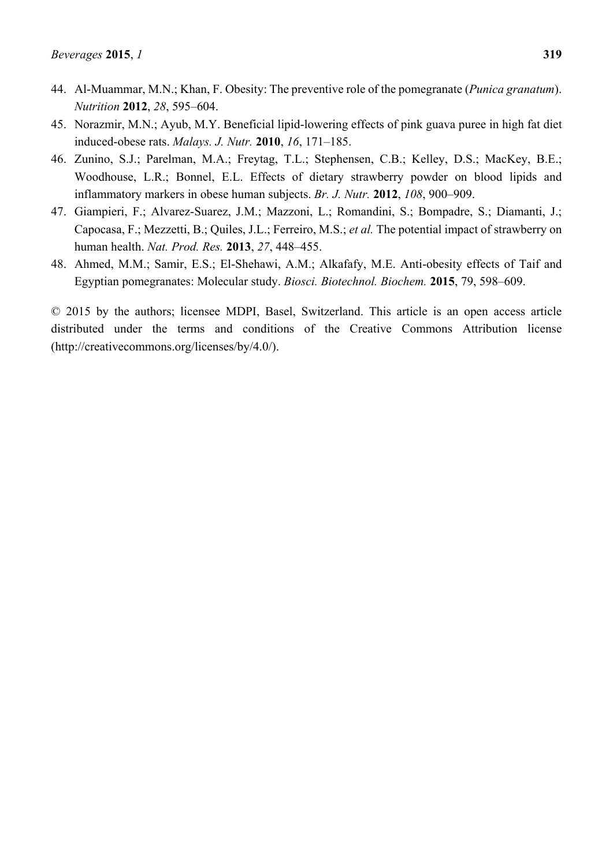- 44. Al-Muammar, M.N.; Khan, F. Obesity: The preventive role of the pomegranate (*Punica granatum*). *Nutrition* **2012**, *28*, 595–604.
- 45. Norazmir, M.N.; Ayub, M.Y. Beneficial lipid-lowering effects of pink guava puree in high fat diet induced-obese rats. *Malays. J. Nutr.* **2010**, *16*, 171–185.
- 46. Zunino, S.J.; Parelman, M.A.; Freytag, T.L.; Stephensen, C.B.; Kelley, D.S.; MacKey, B.E.; Woodhouse, L.R.; Bonnel, E.L. Effects of dietary strawberry powder on blood lipids and inflammatory markers in obese human subjects. *Br. J. Nutr.* **2012**, *108*, 900–909.
- 47. Giampieri, F.; Alvarez-Suarez, J.M.; Mazzoni, L.; Romandini, S.; Bompadre, S.; Diamanti, J.; Capocasa, F.; Mezzetti, B.; Quiles, J.L.; Ferreiro, M.S.; *et al.* The potential impact of strawberry on human health. *Nat. Prod. Res.* **2013**, *27*, 448–455.
- 48. Ahmed, M.M.; Samir, E.S.; El-Shehawi, A.M.; Alkafafy, M.E. Anti-obesity effects of Taif and Egyptian pomegranates: Molecular study. *Biosci. Biotechnol. Biochem.* **2015**, 79, 598–609.

© 2015 by the authors; licensee MDPI, Basel, Switzerland. This article is an open access article distributed under the terms and conditions of the Creative Commons Attribution license (http://creativecommons.org/licenses/by/4.0/).